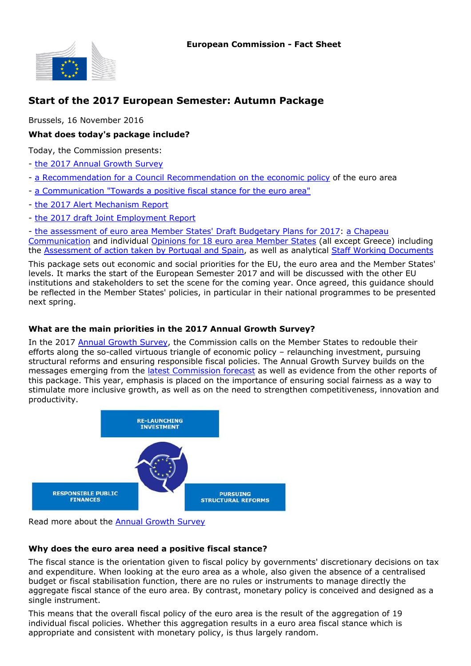

# **Start of the 2017 European Semester: Autumn Package**

Brussels, 16 November 2016

# **What does today's package include?**

Today, the Commission presents:

- [the 2017 Annual Growth Survey](https://ec.europa.eu/info/publications/2017-european-semester-annual-growth-survey_en)
- [a Recommendation for a Council Recommendation on the economic policy](https://ec.europa.eu/info/publications/2017-european-semester-recommendation-euro-area_en) of the euro area
- [a Communication "Towards a positive fiscal stance for the euro area"](https://ec.europa.eu/info/publications/2017-european-semester-communication-fiscal-stance_en)
- [the 2017 Alert Mechanism Report](https://ec.europa.eu/info/publications/2017-european-semester-alert-mechanism-report_en)
- [the 2017 draft Joint Employment Report](https://ec.europa.eu/info/publications/2017-european-semester-draft-joint-employment-report_en)

- [the assessment of euro area Member States' Draft Budgetary Plans for 2017:](http://ec.europa.eu/economy_finance/economic_governance/sgp/budgetary_plans/index_en.htm) [a Chapeau](http://ec.europa.eu/economy_finance/economic_governance/sgp/budgetary_plans/index_en.htm) [Communication](http://ec.europa.eu/economy_finance/economic_governance/sgp/budgetary_plans/index_en.htm) and individual [Opinions for 18 euro area Member States](http://ec.europa.eu/economy_finance/economic_governance/sgp/budgetary_plans/index_en.htm) (all except Greece) including the [Assessment of action taken by Portugal and Spain](http://ec.europa.eu/economy_finance/economic_governance/sgp/deficit/countries/portugal_en.htm), as well as analytical [Staff Working Documents](http://ec.europa.eu/economy_finance/economic_governance/sgp/budgetary_plans/index_en.htm)

This package sets out economic and social priorities for the EU, the euro area and the Member States' levels. It marks the start of the European Semester 2017 and will be discussed with the other EU institutions and stakeholders to set the scene for the coming year. Once agreed, this guidance should be reflected in the Member States' policies, in particular in their national programmes to be presented next spring.

# **What are the main priorities in the 2017 Annual Growth Survey?**

In the 2017 [Annual Growth Survey,](https://ec.europa.eu/info/publications/2017-european-semester-annual-growth-survey_en) the Commission calls on the Member States to redouble their efforts along the so-called virtuous triangle of economic policy – relaunching investment, pursuing structural reforms and ensuring responsible fiscal policies. The Annual Growth Survey builds on the messages emerging from the [latest Commission forecast](http://ec.europa.eu/economy_finance/eu/forecasts/index_en.htm) as well as evidence from the other reports of this package. This year, emphasis is placed on the importance of ensuring social fairness as a way to stimulate more inclusive growth, as well as on the need to strengthen competitiveness, innovation and productivity.



Read more about the [Annual Growth Survey](https://ec.europa.eu/info/european-semester/european-semester-timeline/setting-priorities_en)

# **Why does the euro area need a positive fiscal stance?**

The fiscal stance is the orientation given to fiscal policy by governments' discretionary decisions on tax and expenditure. When looking at the euro area as a whole, also given the absence of a centralised budget or fiscal stabilisation function, there are no rules or instruments to manage directly the aggregate fiscal stance of the euro area. By contrast, monetary policy is conceived and designed as a single instrument.

This means that the overall fiscal policy of the euro area is the result of the aggregation of 19 individual fiscal policies. Whether this aggregation results in a euro area fiscal stance which is appropriate and consistent with monetary policy, is thus largely random.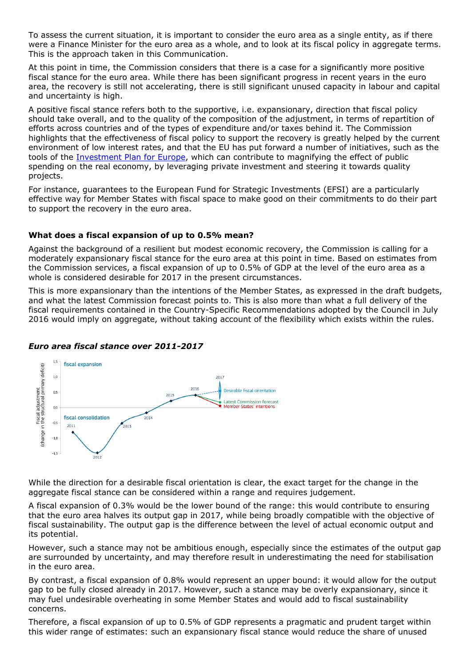To assess the current situation, it is important to consider the euro area as a single entity, as if there were a Finance Minister for the euro area as a whole, and to look at its fiscal policy in aggregate terms. This is the approach taken in this Communication.

At this point in time, the Commission considers that there is a case for a significantly more positive fiscal stance for the euro area. While there has been significant progress in recent years in the euro area, the recovery is still not accelerating, there is still significant unused capacity in labour and capital and uncertainty is high.

A positive fiscal stance refers both to the supportive, i.e. expansionary, direction that fiscal policy should take overall, and to the quality of the composition of the adjustment, in terms of repartition of efforts across countries and of the types of expenditure and/or taxes behind it. The Commission highlights that the effectiveness of fiscal policy to support the recovery is greatly helped by the current environment of low interest rates, and that the EU has put forward a number of initiatives, such as the tools of the [Investment Plan for Europe](https://ec.europa.eu/priorities/jobs-growth-and-investment/investment-plan_en), which can contribute to magnifying the effect of public spending on the real economy, by leveraging private investment and steering it towards quality projects.

For instance, guarantees to the European Fund for Strategic Investments (EFSI) are a particularly effective way for Member States with fiscal space to make good on their commitments to do their part to support the recovery in the euro area.

### **What does a fiscal expansion of up to 0.5% mean?**

Against the background of a resilient but modest economic recovery, the Commission is calling for a moderately expansionary fiscal stance for the euro area at this point in time. Based on estimates from the Commission services, a fiscal expansion of up to 0.5% of GDP at the level of the euro area as a whole is considered desirable for 2017 in the present circumstances.

This is more expansionary than the intentions of the Member States, as expressed in the draft budgets, and what the latest Commission forecast points to. This is also more than what a full delivery of the fiscal requirements contained in the Country-Specific Recommendations adopted by the Council in July 2016 would imply on aggregate, without taking account of the flexibility which exists within the rules.



#### *Euro area fiscal stance over 2011-2017*

While the direction for a desirable fiscal orientation is clear, the exact target for the change in the aggregate fiscal stance can be considered within a range and requires judgement.

A fiscal expansion of 0.3% would be the lower bound of the range: this would contribute to ensuring that the euro area halves its output gap in 2017, while being broadly compatible with the objective of fiscal sustainability. The output gap is the difference between the level of actual economic output and its potential.

However, such a stance may not be ambitious enough, especially since the estimates of the output gap are surrounded by uncertainty, and may therefore result in underestimating the need for stabilisation in the euro area.

By contrast, a fiscal expansion of 0.8% would represent an upper bound: it would allow for the output gap to be fully closed already in 2017. However, such a stance may be overly expansionary, since it may fuel undesirable overheating in some Member States and would add to fiscal sustainability concerns.

Therefore, a fiscal expansion of up to 0.5% of GDP represents a pragmatic and prudent target within this wider range of estimates: such an expansionary fiscal stance would reduce the share of unused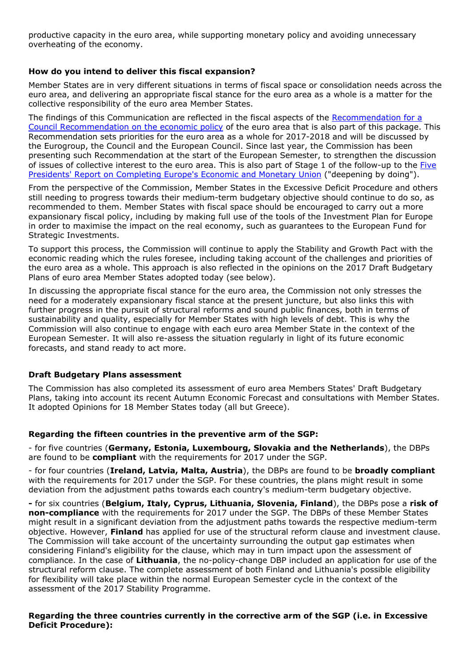productive capacity in the euro area, while supporting monetary policy and avoiding unnecessary overheating of the economy.

## **How do you intend to deliver this fiscal expansion?**

Member States are in very different situations in terms of fiscal space or consolidation needs across the euro area, and delivering an appropriate fiscal stance for the euro area as a whole is a matter for the collective responsibility of the euro area Member States.

The findings of this Communication are reflected in the fiscal aspects of the [Recommendation for a](https://ec.europa.eu/info/publications/2017-european-semester-recommendation-euro-area_en) [Council Recommendation on the economic policy](https://ec.europa.eu/info/publications/2017-european-semester-recommendation-euro-area_en) of the euro area that is also part of this package. This Recommendation sets priorities for the euro area as a whole for 2017-2018 and will be discussed by the Eurogroup, the Council and the European Council. Since last year, the Commission has been presenting such Recommendation at the start of the European Semester, to strengthen the discussion of issues of collective interest to the euro area. This is also part of Stage 1 of the follow-up to the [Five](https://ec.europa.eu/priorities/publications/five-presidents-report-completing-europes-economic-and-monetary-union_en) [Presidents' Report on Completing Europe's Economic and Monetary Union](https://ec.europa.eu/priorities/publications/five-presidents-report-completing-europes-economic-and-monetary-union_en) ("deepening by doing").

From the perspective of the Commission, Member States in the Excessive Deficit Procedure and others still needing to progress towards their medium-term budgetary objective should continue to do so, as recommended to them. Member States with fiscal space should be encouraged to carry out a more expansionary fiscal policy, including by making full use of the tools of the Investment Plan for Europe in order to maximise the impact on the real economy, such as guarantees to the European Fund for Strategic Investments.

To support this process, the Commission will continue to apply the Stability and Growth Pact with the economic reading which the rules foresee, including taking account of the challenges and priorities of the euro area as a whole. This approach is also reflected in the opinions on the 2017 Draft Budgetary Plans of euro area Member States adopted today (see below).

In discussing the appropriate fiscal stance for the euro area, the Commission not only stresses the need for a moderately expansionary fiscal stance at the present juncture, but also links this with further progress in the pursuit of structural reforms and sound public finances, both in terms of sustainability and quality, especially for Member States with high levels of debt. This is why the Commission will also continue to engage with each euro area Member State in the context of the European Semester. It will also re-assess the situation regularly in light of its future economic forecasts, and stand ready to act more.

# **Draft Budgetary Plans assessment**

The Commission has also completed its assessment of euro area Members States' Draft Budgetary Plans, taking into account its recent Autumn Economic Forecast and consultations with Member States. It adopted Opinions for 18 Member States today (all but Greece).

#### **Regarding the fifteen countries in the preventive arm of the SGP:**

- for five countries (**Germany, Estonia, Luxembourg, Slovakia and the Netherlands**), the DBPs are found to be **compliant** with the requirements for 2017 under the SGP.

- for four countries (**Ireland, Latvia, Malta, Austria**), the DBPs are found to be **broadly compliant** with the requirements for 2017 under the SGP. For these countries, the plans might result in some deviation from the adjustment paths towards each country's medium-term budgetary objective.

**-** for six countries (**Belgium, Italy, Cyprus, Lithuania, Slovenia, Finland**), the DBPs pose a **risk of non-compliance** with the requirements for 2017 under the SGP. The DBPs of these Member States might result in a significant deviation from the adjustment paths towards the respective medium-term objective. However, **Finland** has applied for use of the structural reform clause and investment clause. The Commission will take account of the uncertainty surrounding the output gap estimates when considering Finland's eligibility for the clause, which may in turn impact upon the assessment of compliance. In the case of **Lithuania**, the no-policy-change DBP included an application for use of the structural reform clause. The complete assessment of both Finland and Lithuania's possible eligibility for flexibility will take place within the normal European Semester cycle in the context of the assessment of the 2017 Stability Programme.

### **Regarding the three countries currently in the corrective arm of the SGP (i.e. in Excessive Deficit Procedure):**